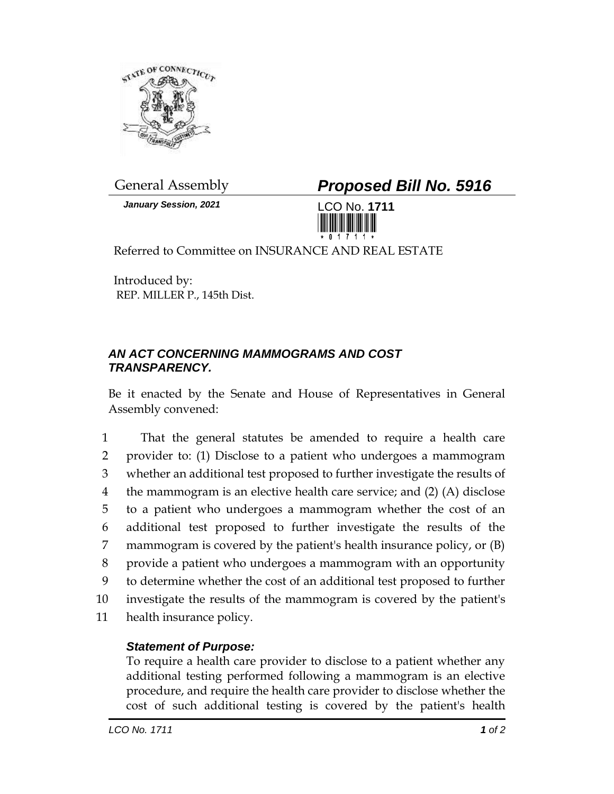

*January Session, 2021* LCO No. **1711**

General Assembly *Proposed Bill No. 5916*



Referred to Committee on INSURANCE AND REAL ESTATE

Introduced by: REP. MILLER P., 145th Dist.

## *AN ACT CONCERNING MAMMOGRAMS AND COST TRANSPARENCY.*

Be it enacted by the Senate and House of Representatives in General Assembly convened:

 That the general statutes be amended to require a health care provider to: (1) Disclose to a patient who undergoes a mammogram whether an additional test proposed to further investigate the results of the mammogram is an elective health care service; and (2) (A) disclose to a patient who undergoes a mammogram whether the cost of an additional test proposed to further investigate the results of the mammogram is covered by the patient's health insurance policy, or (B) provide a patient who undergoes a mammogram with an opportunity to determine whether the cost of an additional test proposed to further investigate the results of the mammogram is covered by the patient's health insurance policy.

## *Statement of Purpose:*

To require a health care provider to disclose to a patient whether any additional testing performed following a mammogram is an elective procedure, and require the health care provider to disclose whether the cost of such additional testing is covered by the patient's health